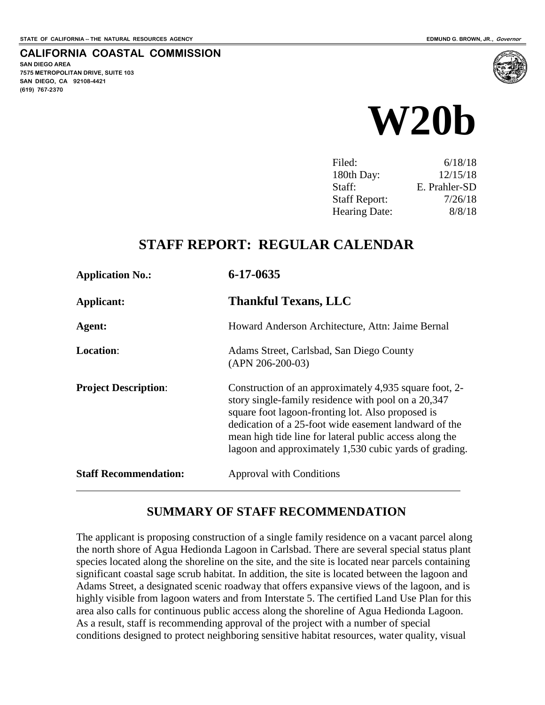### **CALIFORNIA COASTAL COMMISSION**

**SAN DIEGO AREA 7575 METROPOLITAN DRIVE, SUITE 103 SAN DIEGO, CA 92108-4421 (619) 767-2370**



| Filed:               | 6/18/18       |
|----------------------|---------------|
| 180th Day:           | 12/15/18      |
| Staff:               | E. Prahler-SD |
| <b>Staff Report:</b> | 7/26/18       |
| <b>Hearing Date:</b> | 8/8/18        |

### **STAFF REPORT: REGULAR CALENDAR**

| <b>Application No.:</b>      | $6 - 17 - 0635$                                                                                                                                                                                                                                                                                                                                  |
|------------------------------|--------------------------------------------------------------------------------------------------------------------------------------------------------------------------------------------------------------------------------------------------------------------------------------------------------------------------------------------------|
| Applicant:                   | <b>Thankful Texans, LLC</b>                                                                                                                                                                                                                                                                                                                      |
| Agent:                       | Howard Anderson Architecture, Attn: Jaime Bernal                                                                                                                                                                                                                                                                                                 |
| <b>Location:</b>             | Adams Street, Carlsbad, San Diego County<br>$(APN 206-200-03)$                                                                                                                                                                                                                                                                                   |
| <b>Project Description:</b>  | Construction of an approximately 4,935 square foot, 2-<br>story single-family residence with pool on a 20,347<br>square foot lagoon-fronting lot. Also proposed is<br>dedication of a 25-foot wide easement landward of the<br>mean high tide line for lateral public access along the<br>lagoon and approximately 1,530 cubic yards of grading. |
| <b>Staff Recommendation:</b> | <b>Approval with Conditions</b>                                                                                                                                                                                                                                                                                                                  |

### **SUMMARY OF STAFF RECOMMENDATION**

The applicant is proposing construction of a single family residence on a vacant parcel along the north shore of Agua Hedionda Lagoon in Carlsbad. There are several special status plant species located along the shoreline on the site, and the site is located near parcels containing significant coastal sage scrub habitat. In addition, the site is located between the lagoon and Adams Street, a designated scenic roadway that offers expansive views of the lagoon, and is highly visible from lagoon waters and from Interstate 5. The certified Land Use Plan for this area also calls for continuous public access along the shoreline of Agua Hedionda Lagoon. As a result, staff is recommending approval of the project with a number of special conditions designed to protect neighboring sensitive habitat resources, water quality, visual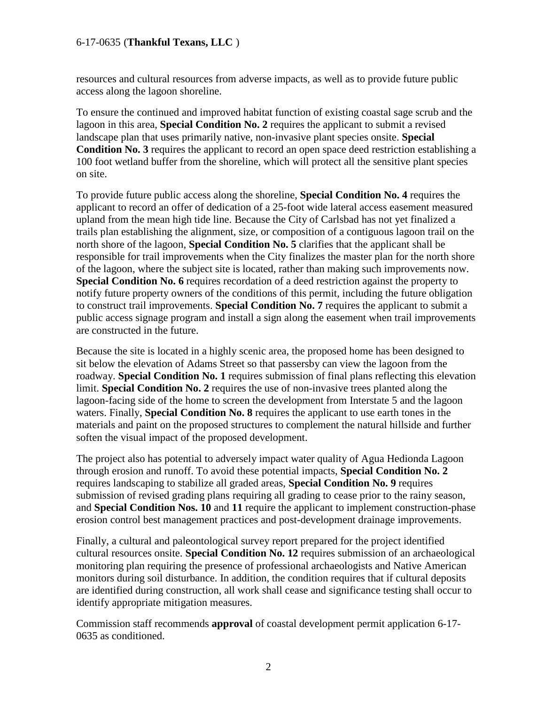resources and cultural resources from adverse impacts, as well as to provide future public access along the lagoon shoreline.

To ensure the continued and improved habitat function of existing coastal sage scrub and the lagoon in this area, **Special Condition No. 2** requires the applicant to submit a revised landscape plan that uses primarily native, non-invasive plant species onsite. **Special Condition No. 3** requires the applicant to record an open space deed restriction establishing a 100 foot wetland buffer from the shoreline, which will protect all the sensitive plant species on site.

To provide future public access along the shoreline, **Special Condition No. 4** requires the applicant to record an offer of dedication of a 25-foot wide lateral access easement measured upland from the mean high tide line. Because the City of Carlsbad has not yet finalized a trails plan establishing the alignment, size, or composition of a contiguous lagoon trail on the north shore of the lagoon, **Special Condition No. 5** clarifies that the applicant shall be responsible for trail improvements when the City finalizes the master plan for the north shore of the lagoon, where the subject site is located, rather than making such improvements now. **Special Condition No. 6** requires recordation of a deed restriction against the property to notify future property owners of the conditions of this permit, including the future obligation to construct trail improvements. **Special Condition No. 7** requires the applicant to submit a public access signage program and install a sign along the easement when trail improvements are constructed in the future.

Because the site is located in a highly scenic area, the proposed home has been designed to sit below the elevation of Adams Street so that passersby can view the lagoon from the roadway. **Special Condition No. 1** requires submission of final plans reflecting this elevation limit. **Special Condition No. 2** requires the use of non-invasive trees planted along the lagoon-facing side of the home to screen the development from Interstate 5 and the lagoon waters. Finally, **Special Condition No. 8** requires the applicant to use earth tones in the materials and paint on the proposed structures to complement the natural hillside and further soften the visual impact of the proposed development.

The project also has potential to adversely impact water quality of Agua Hedionda Lagoon through erosion and runoff. To avoid these potential impacts, **Special Condition No. 2**  requires landscaping to stabilize all graded areas, **Special Condition No. 9** requires submission of revised grading plans requiring all grading to cease prior to the rainy season, and **Special Condition Nos. 10** and **11** require the applicant to implement construction-phase erosion control best management practices and post-development drainage improvements.

Finally, a cultural and paleontological survey report prepared for the project identified cultural resources onsite. **Special Condition No. 12** requires submission of an archaeological monitoring plan requiring the presence of professional archaeologists and Native American monitors during soil disturbance. In addition, the condition requires that if cultural deposits are identified during construction, all work shall cease and significance testing shall occur to identify appropriate mitigation measures.

Commission staff recommends **approval** of coastal development permit application 6-17- 0635 as conditioned.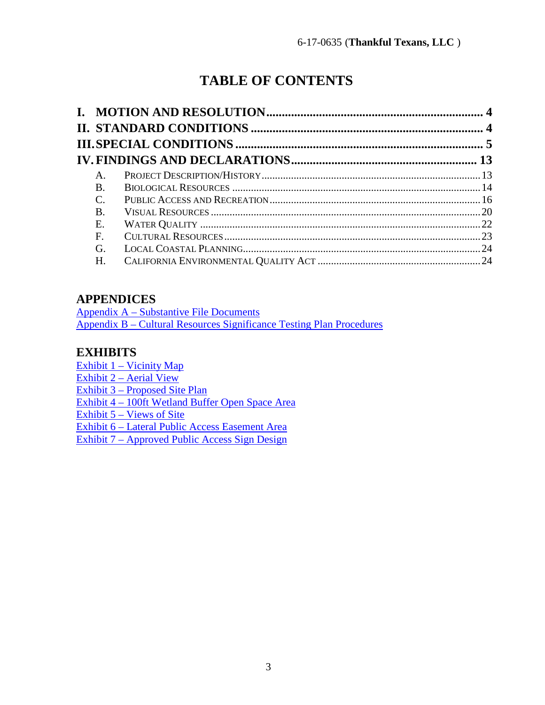# **TABLE OF CONTENTS**

| A.         |  |
|------------|--|
| <b>B</b> . |  |
| C.         |  |
| <b>B.</b>  |  |
| Ε.         |  |
| F.         |  |
| G.         |  |
| Н.         |  |

### **APPENDICES**

[Appendix A – Substantive File Documents](#page-25-0) Appendix B – Cultural Resources Significance Testing Plan Procedures

### **EXHIBITS**

[Exhibit 1 – Vicinity Map](https://documents.coastal.ca.gov/reports/2018/8/W20b/W20b-8-2018-exhibits.pdf) [Exhibit 2 – Aerial View](https://documents.coastal.ca.gov/reports/2018/8/W20b/W20b-8-2018-exhibits.pdf) [Exhibit 3 – Proposed Site Plan](https://documents.coastal.ca.gov/reports/2018/8/W20b/W20b-8-2018-exhibits.pdf)  [Exhibit 4 – 100ft Wetland Buffer Open Space Area](https://documents.coastal.ca.gov/reports/2018/8/W20b/W20b-8-2018-exhibits.pdf) [Exhibit 5 – Views of Site](https://documents.coastal.ca.gov/reports/2018/8/W20b/W20b-8-2018-exhibits.pdf) [Exhibit 6 – Lateral Public Access Easement Area](https://documents.coastal.ca.gov/reports/2018/8/W20b/W20b-8-2018-exhibits.pdf) [Exhibit 7 – Approved Public Access Sign Design](https://documents.coastal.ca.gov/reports/2018/8/W20b/W20b-8-2018-exhibits.pdf)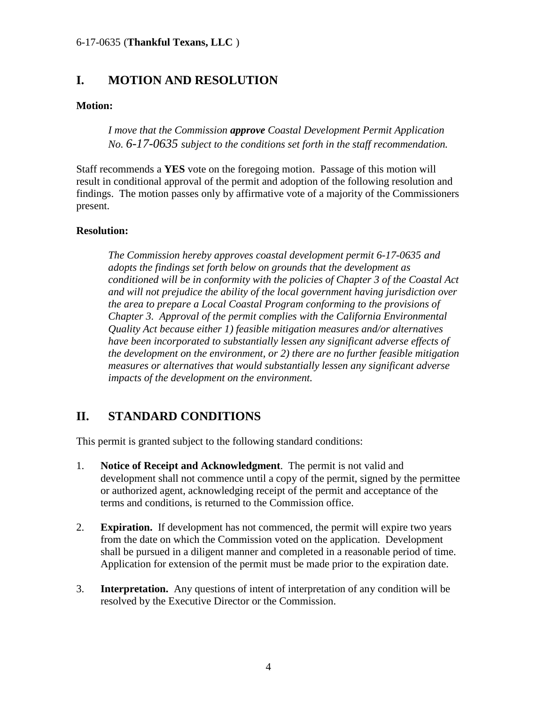### <span id="page-3-0"></span>**I. MOTION AND RESOLUTION**

#### **Motion:**

*I move that the Commission approve Coastal Development Permit Application No. 6-17-0635 subject to the conditions set forth in the staff recommendation.* 

Staff recommends a **YES** vote on the foregoing motion. Passage of this motion will result in conditional approval of the permit and adoption of the following resolution and findings. The motion passes only by affirmative vote of a majority of the Commissioners present.

#### **Resolution:**

*The Commission hereby approves coastal development permit 6-17-0635 and adopts the findings set forth below on grounds that the development as conditioned will be in conformity with the policies of Chapter 3 of the Coastal Act and will not prejudice the ability of the local government having jurisdiction over the area to prepare a Local Coastal Program conforming to the provisions of Chapter 3. Approval of the permit complies with the California Environmental Quality Act because either 1) feasible mitigation measures and/or alternatives have been incorporated to substantially lessen any significant adverse effects of the development on the environment, or 2) there are no further feasible mitigation measures or alternatives that would substantially lessen any significant adverse impacts of the development on the environment.* 

### <span id="page-3-1"></span>**II. STANDARD CONDITIONS**

This permit is granted subject to the following standard conditions:

- 1. **Notice of Receipt and Acknowledgment**. The permit is not valid and development shall not commence until a copy of the permit, signed by the permittee or authorized agent, acknowledging receipt of the permit and acceptance of the terms and conditions, is returned to the Commission office.
- 2. **Expiration.** If development has not commenced, the permit will expire two years from the date on which the Commission voted on the application. Development shall be pursued in a diligent manner and completed in a reasonable period of time. Application for extension of the permit must be made prior to the expiration date.
- 3. **Interpretation.** Any questions of intent of interpretation of any condition will be resolved by the Executive Director or the Commission.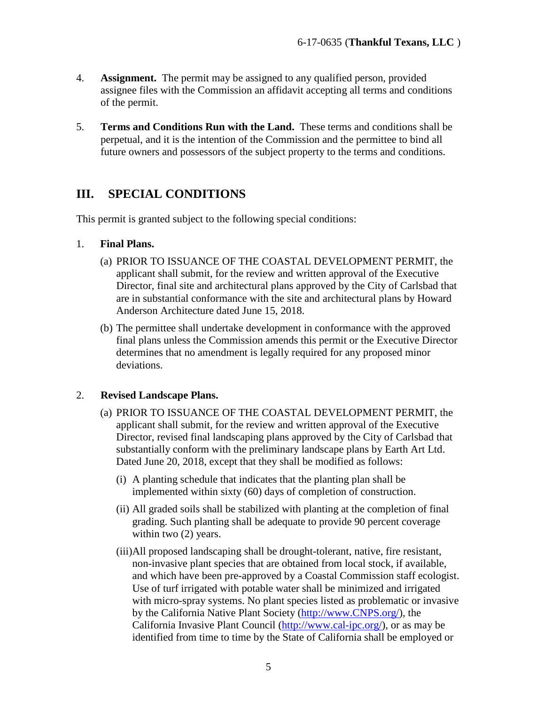- 4. **Assignment.** The permit may be assigned to any qualified person, provided assignee files with the Commission an affidavit accepting all terms and conditions of the permit.
- 5. **Terms and Conditions Run with the Land.** These terms and conditions shall be perpetual, and it is the intention of the Commission and the permittee to bind all future owners and possessors of the subject property to the terms and conditions.

### <span id="page-4-0"></span>**III. SPECIAL CONDITIONS**

This permit is granted subject to the following special conditions:

#### 1. **Final Plans.**

- (a) PRIOR TO ISSUANCE OF THE COASTAL DEVELOPMENT PERMIT, the applicant shall submit, for the review and written approval of the Executive Director, final site and architectural plans approved by the City of Carlsbad that are in substantial conformance with the site and architectural plans by Howard Anderson Architecture dated June 15, 2018.
- (b) The permittee shall undertake development in conformance with the approved final plans unless the Commission amends this permit or the Executive Director determines that no amendment is legally required for any proposed minor deviations.

#### 2. **Revised Landscape Plans.**

- (a) PRIOR TO ISSUANCE OF THE COASTAL DEVELOPMENT PERMIT, the applicant shall submit, for the review and written approval of the Executive Director, revised final landscaping plans approved by the City of Carlsbad that substantially conform with the preliminary landscape plans by Earth Art Ltd. Dated June 20, 2018, except that they shall be modified as follows:
	- (i) A planting schedule that indicates that the planting plan shall be implemented within sixty (60) days of completion of construction.
	- (ii) All graded soils shall be stabilized with planting at the completion of final grading. Such planting shall be adequate to provide 90 percent coverage within two  $(2)$  years.
	- (iii)All proposed landscaping shall be drought-tolerant, native, fire resistant, non-invasive plant species that are obtained from local stock, if available, and which have been pre-approved by a Coastal Commission staff ecologist. Use of turf irrigated with potable water shall be minimized and irrigated with micro-spray systems. No plant species listed as problematic or invasive by the California Native Plant Society [\(http://www.CNPS.org/\)](http://www.cnps.org/), the California Invasive Plant Council [\(http://www.cal-ipc.org/\)](http://www.cal-ipc.org/), or as may be identified from time to time by the State of California shall be employed or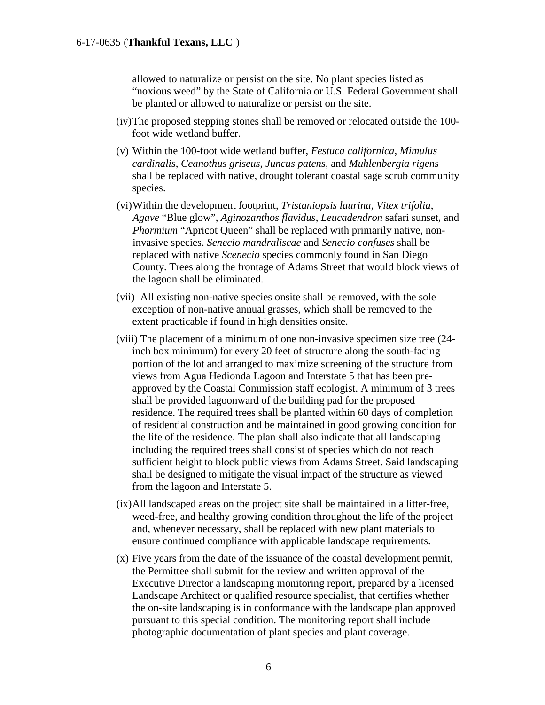allowed to naturalize or persist on the site. No plant species listed as "noxious weed" by the State of California or U.S. Federal Government shall be planted or allowed to naturalize or persist on the site.

- (iv)The proposed stepping stones shall be removed or relocated outside the 100 foot wide wetland buffer.
- (v) Within the 100-foot wide wetland buffer, *Festuca californica*, *Mimulus cardinalis*, *Ceanothus griseus*, *Juncus patens*, and *Muhlenbergia rigens* shall be replaced with native, drought tolerant coastal sage scrub community species.
- (vi)Within the development footprint, *Tristaniopsis laurina*, *Vitex trifolia*, *Agave* "Blue glow", *Aginozanthos flavidus*, *Leucadendron* safari sunset, and *Phormium* "Apricot Queen" shall be replaced with primarily native, noninvasive species. *Senecio mandraliscae* and *Senecio confuses* shall be replaced with native *Scenecio* species commonly found in San Diego County. Trees along the frontage of Adams Street that would block views of the lagoon shall be eliminated.
- (vii) All existing non-native species onsite shall be removed, with the sole exception of non-native annual grasses, which shall be removed to the extent practicable if found in high densities onsite.
- (viii) The placement of a minimum of one non-invasive specimen size tree (24 inch box minimum) for every 20 feet of structure along the south-facing portion of the lot and arranged to maximize screening of the structure from views from Agua Hedionda Lagoon and Interstate 5 that has been preapproved by the Coastal Commission staff ecologist. A minimum of 3 trees shall be provided lagoonward of the building pad for the proposed residence. The required trees shall be planted within 60 days of completion of residential construction and be maintained in good growing condition for the life of the residence. The plan shall also indicate that all landscaping including the required trees shall consist of species which do not reach sufficient height to block public views from Adams Street. Said landscaping shall be designed to mitigate the visual impact of the structure as viewed from the lagoon and Interstate 5.
- (ix)All landscaped areas on the project site shall be maintained in a litter-free, weed-free, and healthy growing condition throughout the life of the project and, whenever necessary, shall be replaced with new plant materials to ensure continued compliance with applicable landscape requirements.
- (x) Five years from the date of the issuance of the coastal development permit, the Permittee shall submit for the review and written approval of the Executive Director a landscaping monitoring report, prepared by a licensed Landscape Architect or qualified resource specialist, that certifies whether the on-site landscaping is in conformance with the landscape plan approved pursuant to this special condition. The monitoring report shall include photographic documentation of plant species and plant coverage.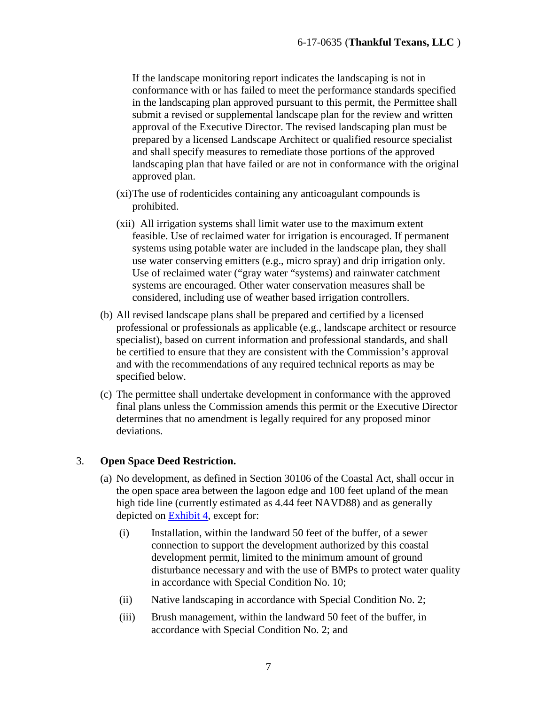If the landscape monitoring report indicates the landscaping is not in conformance with or has failed to meet the performance standards specified in the landscaping plan approved pursuant to this permit, the Permittee shall submit a revised or supplemental landscape plan for the review and written approval of the Executive Director. The revised landscaping plan must be prepared by a licensed Landscape Architect or qualified resource specialist and shall specify measures to remediate those portions of the approved landscaping plan that have failed or are not in conformance with the original approved plan.

- (xi)The use of rodenticides containing any anticoagulant compounds is prohibited.
- (xii) All irrigation systems shall limit water use to the maximum extent feasible. Use of reclaimed water for irrigation is encouraged. If permanent systems using potable water are included in the landscape plan, they shall use water conserving emitters (e.g., micro spray) and drip irrigation only. Use of reclaimed water ("gray water "systems) and rainwater catchment systems are encouraged. Other water conservation measures shall be considered, including use of weather based irrigation controllers.
- (b) All revised landscape plans shall be prepared and certified by a licensed professional or professionals as applicable (e.g., landscape architect or resource specialist), based on current information and professional standards, and shall be certified to ensure that they are consistent with the Commission's approval and with the recommendations of any required technical reports as may be specified below.
- (c) The permittee shall undertake development in conformance with the approved final plans unless the Commission amends this permit or the Executive Director determines that no amendment is legally required for any proposed minor deviations.

#### 3. **Open Space Deed Restriction.**

- (a) No development, as defined in Section 30106 of the Coastal Act, shall occur in the open space area between the lagoon edge and 100 feet upland of the mean high tide line (currently estimated as 4.44 feet NAVD88) and as generally depicted on [Exhibit 4,](https://documents.coastal.ca.gov/reports/2018/8/W20b/W20b-8-2018-exhibits.pdf) except for:
	- (i) Installation, within the landward 50 feet of the buffer, of a sewer connection to support the development authorized by this coastal development permit, limited to the minimum amount of ground disturbance necessary and with the use of BMPs to protect water quality in accordance with Special Condition No. 10;
	- (ii) Native landscaping in accordance with Special Condition No. 2;
	- (iii) Brush management, within the landward 50 feet of the buffer, in accordance with Special Condition No. 2; and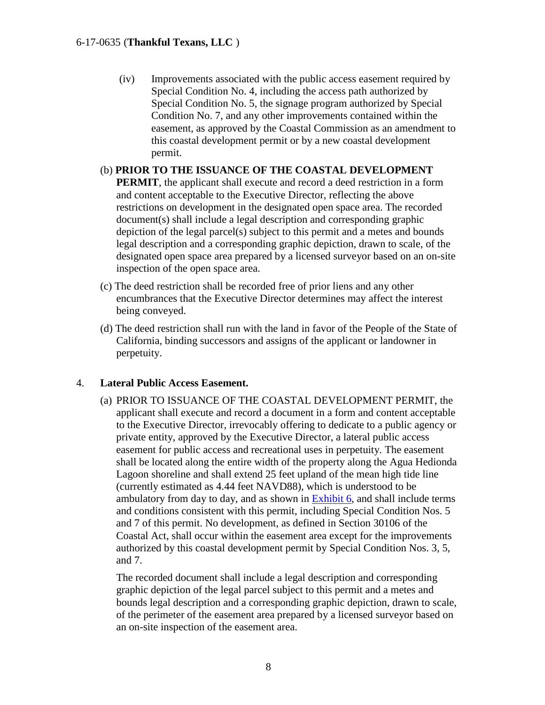(iv) Improvements associated with the public access easement required by Special Condition No. 4, including the access path authorized by Special Condition No. 5, the signage program authorized by Special Condition No. 7, and any other improvements contained within the easement, as approved by the Coastal Commission as an amendment to this coastal development permit or by a new coastal development permit.

#### (b) **PRIOR TO THE ISSUANCE OF THE COASTAL DEVELOPMENT**

**PERMIT**, the applicant shall execute and record a deed restriction in a form and content acceptable to the Executive Director, reflecting the above restrictions on development in the designated open space area. The recorded document(s) shall include a legal description and corresponding graphic depiction of the legal parcel(s) subject to this permit and a metes and bounds legal description and a corresponding graphic depiction, drawn to scale, of the designated open space area prepared by a licensed surveyor based on an on-site inspection of the open space area.

- (c) The deed restriction shall be recorded free of prior liens and any other encumbrances that the Executive Director determines may affect the interest being conveyed.
- (d) The deed restriction shall run with the land in favor of the People of the State of California, binding successors and assigns of the applicant or landowner in perpetuity.

#### 4. **Lateral Public Access Easement.**

(a) PRIOR TO ISSUANCE OF THE COASTAL DEVELOPMENT PERMIT, the applicant shall execute and record a document in a form and content acceptable to the Executive Director*,* irrevocably offering to dedicate to a public agency or private entity, approved by the Executive Director, a lateral public access easement for public access and recreational uses in perpetuity. The easement shall be located along the entire width of the property along the Agua Hedionda Lagoon shoreline and shall extend 25 feet upland of the mean high tide line (currently estimated as 4.44 feet NAVD88), which is understood to be ambulatory from day to day, and as shown in [Exhibit 6,](https://documents.coastal.ca.gov/reports/2018/8/W20b/W20b-8-2018-exhibits.pdf) and shall include terms and conditions consistent with this permit, including Special Condition Nos. 5 and 7 of this permit. No development, as defined in Section 30106 of the Coastal Act, shall occur within the easement area except for the improvements authorized by this coastal development permit by Special Condition Nos. 3, 5, and 7.

The recorded document shall include a legal description and corresponding graphic depiction of the legal parcel subject to this permit and a metes and bounds legal description and a corresponding graphic depiction, drawn to scale, of the perimeter of the easement area prepared by a licensed surveyor based on an on-site inspection of the easement area.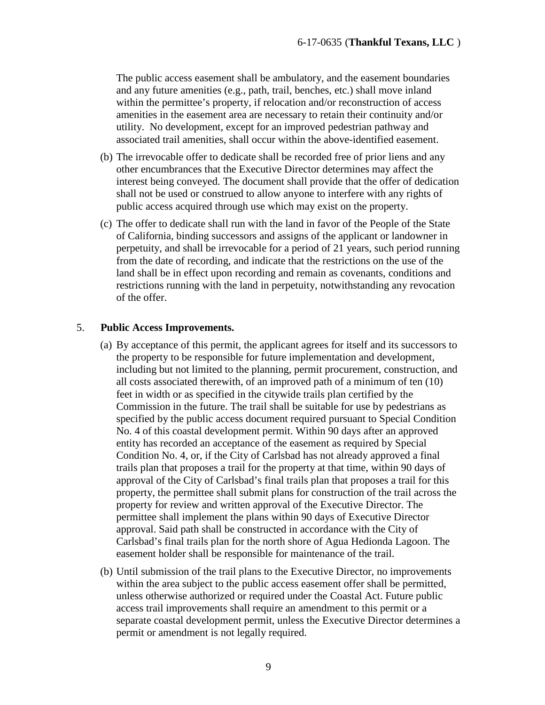The public access easement shall be ambulatory, and the easement boundaries and any future amenities (e.g., path, trail, benches, etc.) shall move inland within the permittee's property, if relocation and/or reconstruction of access amenities in the easement area are necessary to retain their continuity and/or utility. No development, except for an improved pedestrian pathway and associated trail amenities, shall occur within the above-identified easement.

- (b) The irrevocable offer to dedicate shall be recorded free of prior liens and any other encumbrances that the Executive Director determines may affect the interest being conveyed. The document shall provide that the offer of dedication shall not be used or construed to allow anyone to interfere with any rights of public access acquired through use which may exist on the property.
- (c) The offer to dedicate shall run with the land in favor of the People of the State of California, binding successors and assigns of the applicant or landowner in perpetuity, and shall be irrevocable for a period of 21 years, such period running from the date of recording, and indicate that the restrictions on the use of the land shall be in effect upon recording and remain as covenants, conditions and restrictions running with the land in perpetuity, notwithstanding any revocation of the offer.

#### 5. **Public Access Improvements.**

- (a) By acceptance of this permit, the applicant agrees for itself and its successors to the property to be responsible for future implementation and development, including but not limited to the planning, permit procurement, construction, and all costs associated therewith, of an improved path of a minimum of ten (10) feet in width or as specified in the citywide trails plan certified by the Commission in the future. The trail shall be suitable for use by pedestrians as specified by the public access document required pursuant to Special Condition No. 4 of this coastal development permit. Within 90 days after an approved entity has recorded an acceptance of the easement as required by Special Condition No. 4, or, if the City of Carlsbad has not already approved a final trails plan that proposes a trail for the property at that time, within 90 days of approval of the City of Carlsbad's final trails plan that proposes a trail for this property, the permittee shall submit plans for construction of the trail across the property for review and written approval of the Executive Director. The permittee shall implement the plans within 90 days of Executive Director approval. Said path shall be constructed in accordance with the City of Carlsbad's final trails plan for the north shore of Agua Hedionda Lagoon. The easement holder shall be responsible for maintenance of the trail.
- (b) Until submission of the trail plans to the Executive Director, no improvements within the area subject to the public access easement offer shall be permitted, unless otherwise authorized or required under the Coastal Act. Future public access trail improvements shall require an amendment to this permit or a separate coastal development permit, unless the Executive Director determines a permit or amendment is not legally required.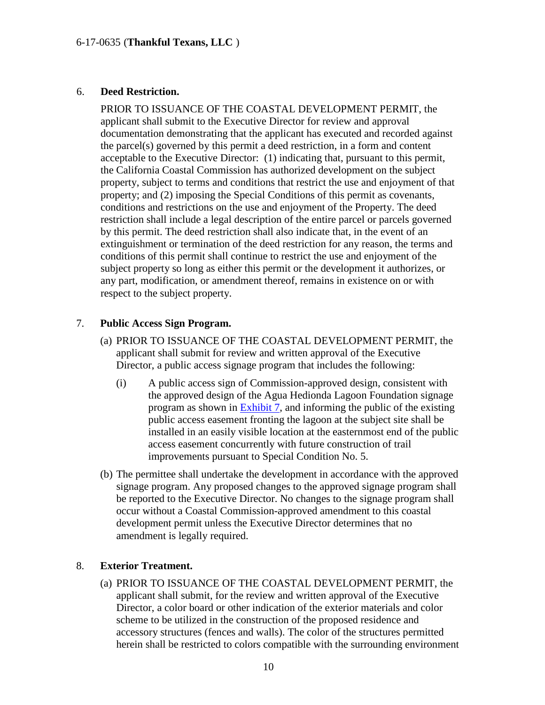#### 6. **Deed Restriction.**

PRIOR TO ISSUANCE OF THE COASTAL DEVELOPMENT PERMIT, the applicant shall submit to the Executive Director for review and approval documentation demonstrating that the applicant has executed and recorded against the parcel(s) governed by this permit a deed restriction, in a form and content acceptable to the Executive Director: (1) indicating that, pursuant to this permit, the California Coastal Commission has authorized development on the subject property, subject to terms and conditions that restrict the use and enjoyment of that property; and (2) imposing the Special Conditions of this permit as covenants, conditions and restrictions on the use and enjoyment of the Property. The deed restriction shall include a legal description of the entire parcel or parcels governed by this permit. The deed restriction shall also indicate that, in the event of an extinguishment or termination of the deed restriction for any reason, the terms and conditions of this permit shall continue to restrict the use and enjoyment of the subject property so long as either this permit or the development it authorizes, or any part, modification, or amendment thereof, remains in existence on or with respect to the subject property.

#### 7. **Public Access Sign Program.**

- (a) PRIOR TO ISSUANCE OF THE COASTAL DEVELOPMENT PERMIT, the applicant shall submit for review and written approval of the Executive Director, a public access signage program that includes the following:
	- (i) A public access sign of Commission-approved design, consistent with the approved design of the Agua Hedionda Lagoon Foundation signage program as shown in [Exhibit 7,](https://documents.coastal.ca.gov/reports/2018/8/W20b/W20b-8-2018-exhibits.pdf) and informing the public of the existing public access easement fronting the lagoon at the subject site shall be installed in an easily visible location at the easternmost end of the public access easement concurrently with future construction of trail improvements pursuant to Special Condition No. 5.
- (b) The permittee shall undertake the development in accordance with the approved signage program. Any proposed changes to the approved signage program shall be reported to the Executive Director. No changes to the signage program shall occur without a Coastal Commission-approved amendment to this coastal development permit unless the Executive Director determines that no amendment is legally required.

#### 8. **Exterior Treatment.**

(a) PRIOR TO ISSUANCE OF THE COASTAL DEVELOPMENT PERMIT, the applicant shall submit, for the review and written approval of the Executive Director, a color board or other indication of the exterior materials and color scheme to be utilized in the construction of the proposed residence and accessory structures (fences and walls). The color of the structures permitted herein shall be restricted to colors compatible with the surrounding environment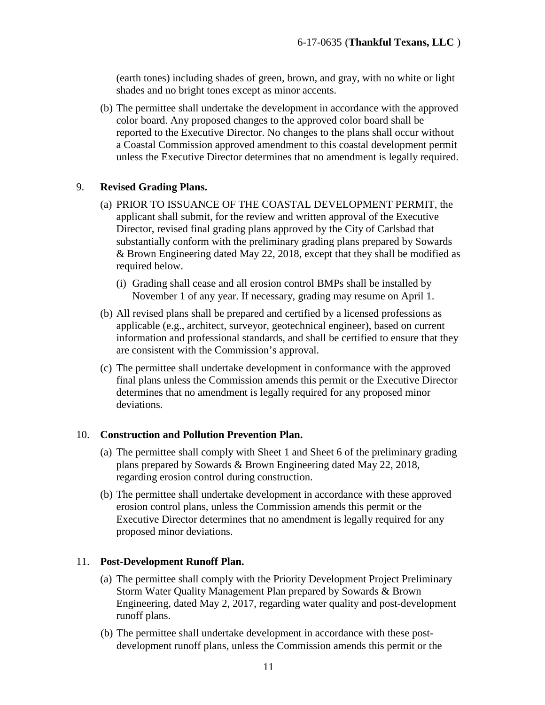(earth tones) including shades of green, brown, and gray, with no white or light shades and no bright tones except as minor accents.

(b) The permittee shall undertake the development in accordance with the approved color board. Any proposed changes to the approved color board shall be reported to the Executive Director. No changes to the plans shall occur without a Coastal Commission approved amendment to this coastal development permit unless the Executive Director determines that no amendment is legally required.

#### 9. **Revised Grading Plans.**

- (a) PRIOR TO ISSUANCE OF THE COASTAL DEVELOPMENT PERMIT, the applicant shall submit, for the review and written approval of the Executive Director, revised final grading plans approved by the City of Carlsbad that substantially conform with the preliminary grading plans prepared by Sowards & Brown Engineering dated May 22, 2018, except that they shall be modified as required below.
	- (i) Grading shall cease and all erosion control BMPs shall be installed by November 1 of any year. If necessary, grading may resume on April 1.
- (b) All revised plans shall be prepared and certified by a licensed professions as applicable (e.g., architect, surveyor, geotechnical engineer), based on current information and professional standards, and shall be certified to ensure that they are consistent with the Commission's approval.
- (c) The permittee shall undertake development in conformance with the approved final plans unless the Commission amends this permit or the Executive Director determines that no amendment is legally required for any proposed minor deviations.

#### 10. **Construction and Pollution Prevention Plan.**

- (a) The permittee shall comply with Sheet 1 and Sheet 6 of the preliminary grading plans prepared by Sowards & Brown Engineering dated May 22, 2018, regarding erosion control during construction.
- (b) The permittee shall undertake development in accordance with these approved erosion control plans, unless the Commission amends this permit or the Executive Director determines that no amendment is legally required for any proposed minor deviations.

#### 11. **Post-Development Runoff Plan.**

- (a) The permittee shall comply with the Priority Development Project Preliminary Storm Water Quality Management Plan prepared by Sowards & Brown Engineering, dated May 2, 2017, regarding water quality and post-development runoff plans.
- (b) The permittee shall undertake development in accordance with these postdevelopment runoff plans, unless the Commission amends this permit or the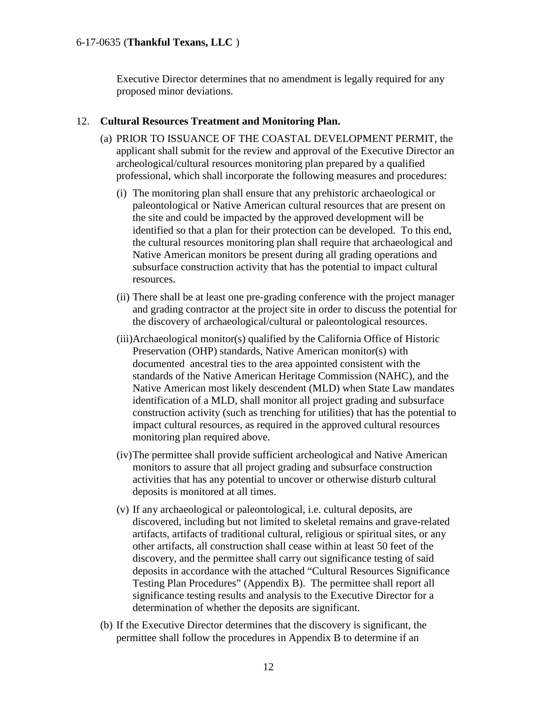Executive Director determines that no amendment is legally required for any proposed minor deviations.

#### 12. **Cultural Resources Treatment and Monitoring Plan.**

- (a) PRIOR TO ISSUANCE OF THE COASTAL DEVELOPMENT PERMIT, the applicant shall submit for the review and approval of the Executive Director an archeological/cultural resources monitoring plan prepared by a qualified professional, which shall incorporate the following measures and procedures:
	- (i) The monitoring plan shall ensure that any prehistoric archaeological or paleontological or Native American cultural resources that are present on the site and could be impacted by the approved development will be identified so that a plan for their protection can be developed. To this end, the cultural resources monitoring plan shall require that archaeological and Native American monitors be present during all grading operations and subsurface construction activity that has the potential to impact cultural resources.
	- (ii) There shall be at least one pre-grading conference with the project manager and grading contractor at the project site in order to discuss the potential for the discovery of archaeological/cultural or paleontological resources.
	- (iii)Archaeological monitor(s) qualified by the California Office of Historic Preservation (OHP) standards, Native American monitor(s) with documented ancestral ties to the area appointed consistent with the standards of the Native American Heritage Commission (NAHC), and the Native American most likely descendent (MLD) when State Law mandates identification of a MLD, shall monitor all project grading and subsurface construction activity (such as trenching for utilities) that has the potential to impact cultural resources, as required in the approved cultural resources monitoring plan required above.
	- (iv)The permittee shall provide sufficient archeological and Native American monitors to assure that all project grading and subsurface construction activities that has any potential to uncover or otherwise disturb cultural deposits is monitored at all times.
	- (v) If any archaeological or paleontological, i.e. cultural deposits, are discovered, including but not limited to skeletal remains and grave-related artifacts, artifacts of traditional cultural, religious or spiritual sites, or any other artifacts, all construction shall cease within at least 50 feet of the discovery, and the permittee shall carry out significance testing of said deposits in accordance with the attached "Cultural Resources Significance Testing Plan Procedures" (Appendix B). The permittee shall report all significance testing results and analysis to the Executive Director for a determination of whether the deposits are significant.
- (b) If the Executive Director determines that the discovery is significant, the permittee shall follow the procedures in Appendix B to determine if an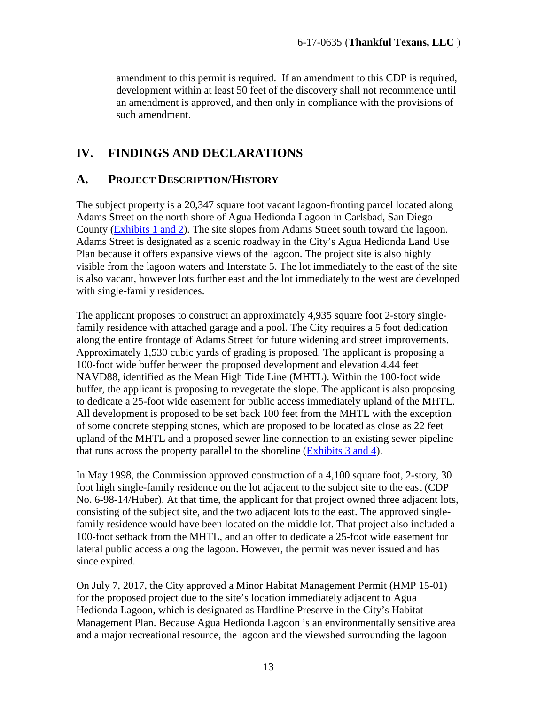amendment to this permit is required. If an amendment to this CDP is required, development within at least 50 feet of the discovery shall not recommence until an amendment is approved, and then only in compliance with the provisions of such amendment.

### <span id="page-12-0"></span>**IV. FINDINGS AND DECLARATIONS**

### <span id="page-12-1"></span>**A. PROJECT DESCRIPTION/HISTORY**

The subject property is a 20,347 square foot vacant lagoon-fronting parcel located along Adams Street on the north shore of Agua Hedionda Lagoon in Carlsbad, San Diego County [\(Exhibits 1 and 2\)](https://documents.coastal.ca.gov/reports/2018/8/W20b/W20b-8-2018-exhibits.pdf). The site slopes from Adams Street south toward the lagoon. Adams Street is designated as a scenic roadway in the City's Agua Hedionda Land Use Plan because it offers expansive views of the lagoon. The project site is also highly visible from the lagoon waters and Interstate 5. The lot immediately to the east of the site is also vacant, however lots further east and the lot immediately to the west are developed with single-family residences.

The applicant proposes to construct an approximately 4,935 square foot 2-story singlefamily residence with attached garage and a pool. The City requires a 5 foot dedication along the entire frontage of Adams Street for future widening and street improvements. Approximately 1,530 cubic yards of grading is proposed. The applicant is proposing a 100-foot wide buffer between the proposed development and elevation 4.44 feet NAVD88, identified as the Mean High Tide Line (MHTL). Within the 100-foot wide buffer, the applicant is proposing to revegetate the slope. The applicant is also proposing to dedicate a 25-foot wide easement for public access immediately upland of the MHTL. All development is proposed to be set back 100 feet from the MHTL with the exception of some concrete stepping stones, which are proposed to be located as close as 22 feet upland of the MHTL and a proposed sewer line connection to an existing sewer pipeline that runs across the property parallel to the shoreline [\(Exhibits 3 and 4\)](https://documents.coastal.ca.gov/reports/2018/8/W20b/W20b-8-2018-exhibits.pdf).

In May 1998, the Commission approved construction of a 4,100 square foot, 2-story, 30 foot high single-family residence on the lot adjacent to the subject site to the east (CDP No. 6-98-14/Huber). At that time, the applicant for that project owned three adjacent lots, consisting of the subject site, and the two adjacent lots to the east. The approved singlefamily residence would have been located on the middle lot. That project also included a 100-foot setback from the MHTL, and an offer to dedicate a 25-foot wide easement for lateral public access along the lagoon. However, the permit was never issued and has since expired.

On July 7, 2017, the City approved a Minor Habitat Management Permit (HMP 15-01) for the proposed project due to the site's location immediately adjacent to Agua Hedionda Lagoon, which is designated as Hardline Preserve in the City's Habitat Management Plan. Because Agua Hedionda Lagoon is an environmentally sensitive area and a major recreational resource, the lagoon and the viewshed surrounding the lagoon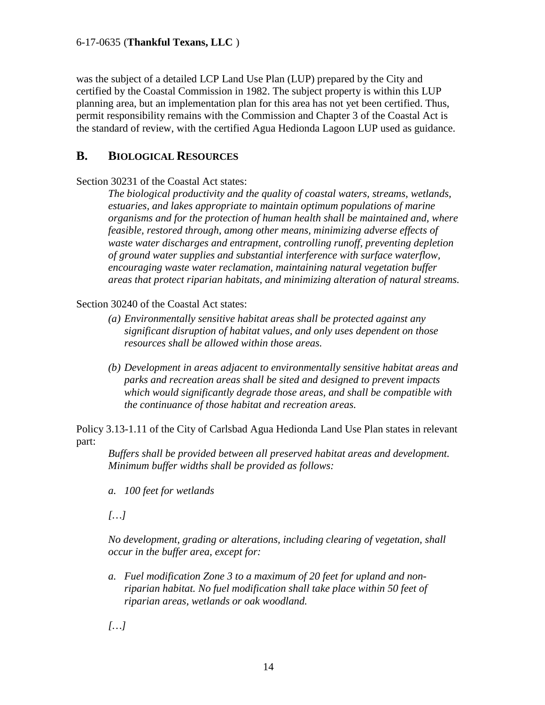was the subject of a detailed LCP Land Use Plan (LUP) prepared by the City and certified by the Coastal Commission in 1982. The subject property is within this LUP planning area, but an implementation plan for this area has not yet been certified. Thus, permit responsibility remains with the Commission and Chapter 3 of the Coastal Act is the standard of review, with the certified Agua Hedionda Lagoon LUP used as guidance.

### <span id="page-13-0"></span>**B. BIOLOGICAL RESOURCES**

Section 30231 of the Coastal Act states:

*The biological productivity and the quality of coastal waters, streams, wetlands, estuaries, and lakes appropriate to maintain optimum populations of marine organisms and for the protection of human health shall be maintained and, where feasible, restored through, among other means, minimizing adverse effects of waste water discharges and entrapment, controlling runoff, preventing depletion of ground water supplies and substantial interference with surface waterflow, encouraging waste water reclamation, maintaining natural vegetation buffer areas that protect riparian habitats, and minimizing alteration of natural streams.* 

Section 30240 of the Coastal Act states:

- *(a) Environmentally sensitive habitat areas shall be protected against any significant disruption of habitat values, and only uses dependent on those resources shall be allowed within those areas.*
- *(b) Development in areas adjacent to environmentally sensitive habitat areas and parks and recreation areas shall be sited and designed to prevent impacts which would significantly degrade those areas, and shall be compatible with the continuance of those habitat and recreation areas.*

Policy 3.13-1.11 of the City of Carlsbad Agua Hedionda Land Use Plan states in relevant part:

*Buffers shall be provided between all preserved habitat areas and development. Minimum buffer widths shall be provided as follows:* 

*a. 100 feet for wetlands* 

*[…]*

*No development, grading or alterations, including clearing of vegetation, shall occur in the buffer area, except for:* 

*a. Fuel modification Zone 3 to a maximum of 20 feet for upland and nonriparian habitat. No fuel modification shall take place within 50 feet of riparian areas, wetlands or oak woodland.* 

*[…]*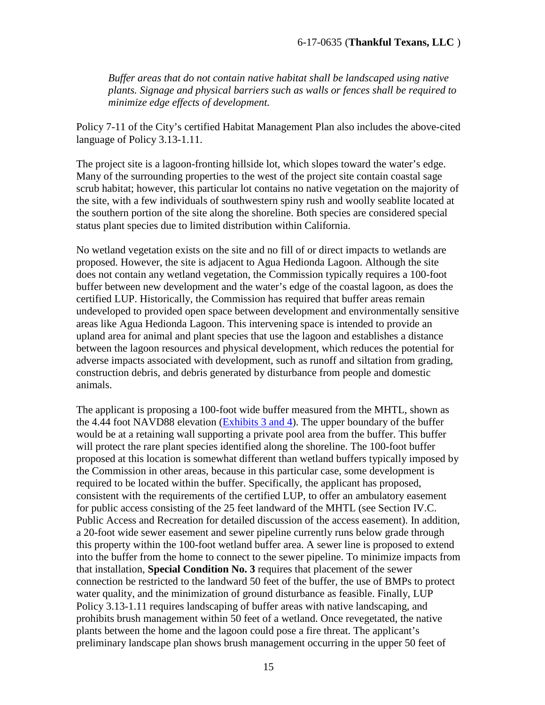*Buffer areas that do not contain native habitat shall be landscaped using native plants. Signage and physical barriers such as walls or fences shall be required to minimize edge effects of development.*

Policy 7-11 of the City's certified Habitat Management Plan also includes the above-cited language of Policy 3.13-1.11.

The project site is a lagoon-fronting hillside lot, which slopes toward the water's edge. Many of the surrounding properties to the west of the project site contain coastal sage scrub habitat; however, this particular lot contains no native vegetation on the majority of the site, with a few individuals of southwestern spiny rush and woolly seablite located at the southern portion of the site along the shoreline. Both species are considered special status plant species due to limited distribution within California.

No wetland vegetation exists on the site and no fill of or direct impacts to wetlands are proposed. However, the site is adjacent to Agua Hedionda Lagoon. Although the site does not contain any wetland vegetation, the Commission typically requires a 100-foot buffer between new development and the water's edge of the coastal lagoon, as does the certified LUP. Historically, the Commission has required that buffer areas remain undeveloped to provided open space between development and environmentally sensitive areas like Agua Hedionda Lagoon. This intervening space is intended to provide an upland area for animal and plant species that use the lagoon and establishes a distance between the lagoon resources and physical development, which reduces the potential for adverse impacts associated with development, such as runoff and siltation from grading, construction debris, and debris generated by disturbance from people and domestic animals.

The applicant is proposing a 100-foot wide buffer measured from the MHTL, shown as the 4.44 foot NAVD88 elevation [\(Exhibits 3 and 4\)](https://documents.coastal.ca.gov/reports/2018/8/W20b/W20b-8-2018-exhibits.pdf). The upper boundary of the buffer would be at a retaining wall supporting a private pool area from the buffer. This buffer will protect the rare plant species identified along the shoreline. The 100-foot buffer proposed at this location is somewhat different than wetland buffers typically imposed by the Commission in other areas, because in this particular case, some development is required to be located within the buffer. Specifically, the applicant has proposed, consistent with the requirements of the certified LUP, to offer an ambulatory easement for public access consisting of the 25 feet landward of the MHTL (see Section IV.C. Public Access and Recreation for detailed discussion of the access easement). In addition, a 20-foot wide sewer easement and sewer pipeline currently runs below grade through this property within the 100-foot wetland buffer area. A sewer line is proposed to extend into the buffer from the home to connect to the sewer pipeline. To minimize impacts from that installation, **Special Condition No. 3** requires that placement of the sewer connection be restricted to the landward 50 feet of the buffer, the use of BMPs to protect water quality, and the minimization of ground disturbance as feasible. Finally, LUP Policy 3.13-1.11 requires landscaping of buffer areas with native landscaping, and prohibits brush management within 50 feet of a wetland. Once revegetated, the native plants between the home and the lagoon could pose a fire threat. The applicant's preliminary landscape plan shows brush management occurring in the upper 50 feet of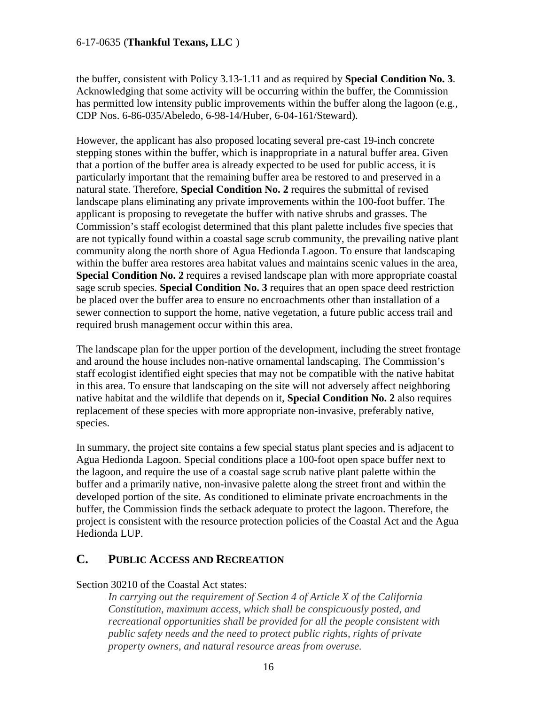the buffer, consistent with Policy 3.13-1.11 and as required by **Special Condition No. 3**. Acknowledging that some activity will be occurring within the buffer, the Commission has permitted low intensity public improvements within the buffer along the lagoon (e.g., CDP Nos. 6-86-035/Abeledo, 6-98-14/Huber, 6-04-161/Steward).

However, the applicant has also proposed locating several pre-cast 19-inch concrete stepping stones within the buffer, which is inappropriate in a natural buffer area. Given that a portion of the buffer area is already expected to be used for public access, it is particularly important that the remaining buffer area be restored to and preserved in a natural state. Therefore, **Special Condition No. 2** requires the submittal of revised landscape plans eliminating any private improvements within the 100-foot buffer. The applicant is proposing to revegetate the buffer with native shrubs and grasses. The Commission's staff ecologist determined that this plant palette includes five species that are not typically found within a coastal sage scrub community, the prevailing native plant community along the north shore of Agua Hedionda Lagoon. To ensure that landscaping within the buffer area restores area habitat values and maintains scenic values in the area, **Special Condition No. 2** requires a revised landscape plan with more appropriate coastal sage scrub species. **Special Condition No. 3** requires that an open space deed restriction be placed over the buffer area to ensure no encroachments other than installation of a sewer connection to support the home, native vegetation, a future public access trail and required brush management occur within this area.

The landscape plan for the upper portion of the development, including the street frontage and around the house includes non-native ornamental landscaping. The Commission's staff ecologist identified eight species that may not be compatible with the native habitat in this area. To ensure that landscaping on the site will not adversely affect neighboring native habitat and the wildlife that depends on it, **Special Condition No. 2** also requires replacement of these species with more appropriate non-invasive, preferably native, species.

In summary, the project site contains a few special status plant species and is adjacent to Agua Hedionda Lagoon. Special conditions place a 100-foot open space buffer next to the lagoon, and require the use of a coastal sage scrub native plant palette within the buffer and a primarily native, non-invasive palette along the street front and within the developed portion of the site. As conditioned to eliminate private encroachments in the buffer, the Commission finds the setback adequate to protect the lagoon. Therefore, the project is consistent with the resource protection policies of the Coastal Act and the Agua Hedionda LUP.

### <span id="page-15-0"></span>**C. PUBLIC ACCESS AND RECREATION**

#### Section 30210 of the Coastal Act states:

*In carrying out the requirement of Section 4 of Article X of the California Constitution, maximum access, which shall be conspicuously posted, and recreational opportunities shall be provided for all the people consistent with public safety needs and the need to protect public rights, rights of private property owners, and natural resource areas from overuse.*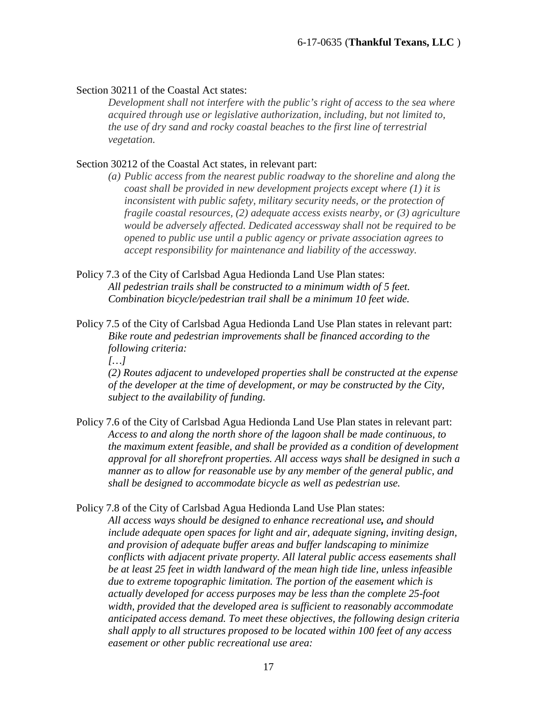#### Section 30211 of the Coastal Act states:

*Development shall not interfere with the public's right of access to the sea where acquired through use or legislative authorization, including, but not limited to, the use of dry sand and rocky coastal beaches to the first line of terrestrial vegetation.* 

#### Section 30212 of the Coastal Act states, in relevant part:

- *(a) Public access from the nearest public roadway to the shoreline and along the coast shall be provided in new development projects except where (1) it is inconsistent with public safety, military security needs, or the protection of fragile coastal resources, (2) adequate access exists nearby, or (3) agriculture would be adversely affected. Dedicated accessway shall not be required to be opened to public use until a public agency or private association agrees to accept responsibility for maintenance and liability of the accessway.*
- Policy 7.3 of the City of Carlsbad Agua Hedionda Land Use Plan states: *All pedestrian trails shall be constructed to a minimum width of 5 feet. Combination bicycle/pedestrian trail shall be a minimum 10 feet wide.*
- Policy 7.5 of the City of Carlsbad Agua Hedionda Land Use Plan states in relevant part: *Bike route and pedestrian improvements shall be financed according to the following criteria:*

*[…]*

*(2) Routes adjacent to undeveloped properties shall be constructed at the expense of the developer at the time of development, or may be constructed by the City, subject to the availability of funding.* 

Policy 7.6 of the City of Carlsbad Agua Hedionda Land Use Plan states in relevant part: *Access to and along the north shore of the lagoon shall be made continuous, to the maximum extent feasible, and shall be provided as a condition of development approval for all shorefront properties. All access ways shall be designed in such a manner as to allow for reasonable use by any member of the general public, and shall be designed to accommodate bicycle as well as pedestrian use.* 

Policy 7.8 of the City of Carlsbad Agua Hedionda Land Use Plan states:

*All access ways should be designed to enhance recreational use, and should include adequate open spaces for light and air, adequate signing, inviting design, and provision of adequate buffer areas and buffer landscaping to minimize conflicts with adjacent private property. All lateral public access easements shall be at least 25 feet in width landward of the mean high tide line, unless infeasible due to extreme topographic limitation. The portion of the easement which is actually developed for access purposes may be less than the complete 25-foot width, provided that the developed area is sufficient to reasonably accommodate anticipated access demand. To meet these objectives, the following design criteria shall apply to all structures proposed to be located within 100 feet of any access easement or other public recreational use area:*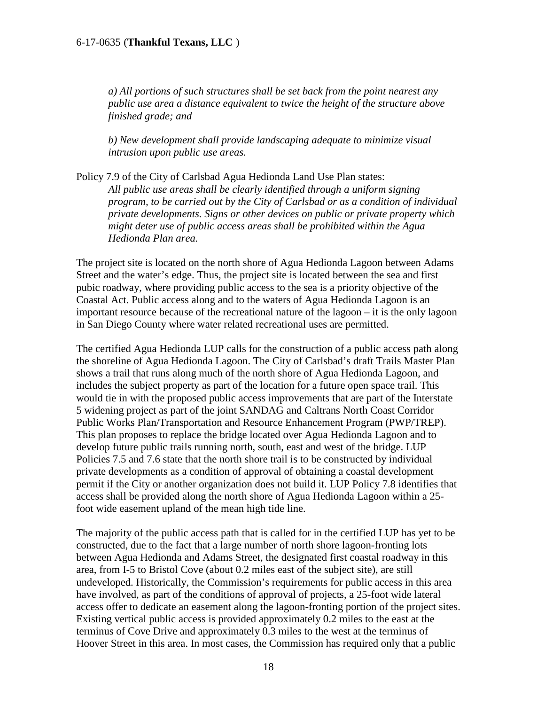*a) All portions of such structures shall be set back from the point nearest any public use area a distance equivalent to twice the height of the structure above finished grade; and* 

*b) New development shall provide landscaping adequate to minimize visual intrusion upon public use areas.* 

Policy 7.9 of the City of Carlsbad Agua Hedionda Land Use Plan states: *All public use areas shall be clearly identified through a uniform signing program, to be carried out by the City of Carlsbad or as a condition of individual private developments. Signs or other devices on public or private property which might deter use of public access areas shall be prohibited within the Agua Hedionda Plan area.* 

The project site is located on the north shore of Agua Hedionda Lagoon between Adams Street and the water's edge. Thus, the project site is located between the sea and first pubic roadway, where providing public access to the sea is a priority objective of the Coastal Act. Public access along and to the waters of Agua Hedionda Lagoon is an important resource because of the recreational nature of the lagoon – it is the only lagoon in San Diego County where water related recreational uses are permitted.

The certified Agua Hedionda LUP calls for the construction of a public access path along the shoreline of Agua Hedionda Lagoon. The City of Carlsbad's draft Trails Master Plan shows a trail that runs along much of the north shore of Agua Hedionda Lagoon, and includes the subject property as part of the location for a future open space trail. This would tie in with the proposed public access improvements that are part of the Interstate 5 widening project as part of the joint SANDAG and Caltrans North Coast Corridor Public Works Plan/Transportation and Resource Enhancement Program (PWP/TREP). This plan proposes to replace the bridge located over Agua Hedionda Lagoon and to develop future public trails running north, south, east and west of the bridge. LUP Policies 7.5 and 7.6 state that the north shore trail is to be constructed by individual private developments as a condition of approval of obtaining a coastal development permit if the City or another organization does not build it. LUP Policy 7.8 identifies that access shall be provided along the north shore of Agua Hedionda Lagoon within a 25 foot wide easement upland of the mean high tide line.

The majority of the public access path that is called for in the certified LUP has yet to be constructed, due to the fact that a large number of north shore lagoon-fronting lots between Agua Hedionda and Adams Street, the designated first coastal roadway in this area, from I-5 to Bristol Cove (about 0.2 miles east of the subject site), are still undeveloped. Historically, the Commission's requirements for public access in this area have involved, as part of the conditions of approval of projects, a 25-foot wide lateral access offer to dedicate an easement along the lagoon-fronting portion of the project sites. Existing vertical public access is provided approximately 0.2 miles to the east at the terminus of Cove Drive and approximately 0.3 miles to the west at the terminus of Hoover Street in this area. In most cases, the Commission has required only that a public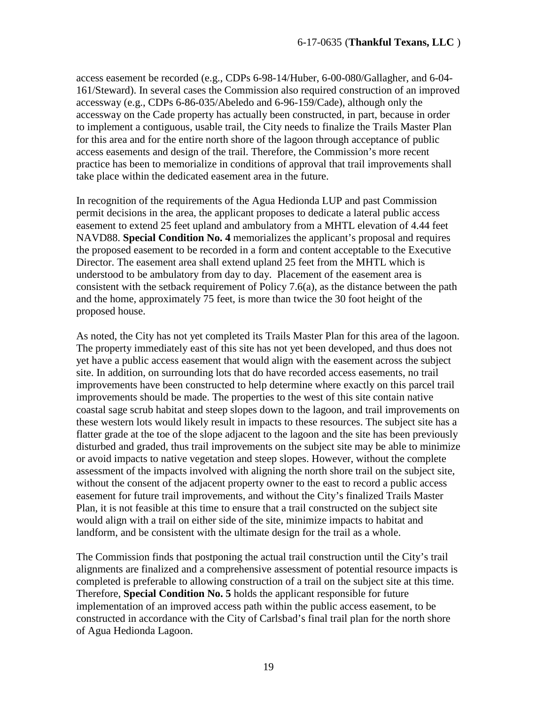access easement be recorded (e.g., CDPs 6-98-14/Huber, 6-00-080/Gallagher, and 6-04- 161/Steward). In several cases the Commission also required construction of an improved accessway (e.g., CDPs 6-86-035/Abeledo and 6-96-159/Cade), although only the accessway on the Cade property has actually been constructed, in part, because in order to implement a contiguous, usable trail, the City needs to finalize the Trails Master Plan for this area and for the entire north shore of the lagoon through acceptance of public access easements and design of the trail. Therefore, the Commission's more recent practice has been to memorialize in conditions of approval that trail improvements shall take place within the dedicated easement area in the future.

In recognition of the requirements of the Agua Hedionda LUP and past Commission permit decisions in the area, the applicant proposes to dedicate a lateral public access easement to extend 25 feet upland and ambulatory from a MHTL elevation of 4.44 feet NAVD88. **Special Condition No. 4** memorializes the applicant's proposal and requires the proposed easement to be recorded in a form and content acceptable to the Executive Director. The easement area shall extend upland 25 feet from the MHTL which is understood to be ambulatory from day to day. Placement of the easement area is consistent with the setback requirement of Policy 7.6(a), as the distance between the path and the home, approximately 75 feet, is more than twice the 30 foot height of the proposed house.

As noted, the City has not yet completed its Trails Master Plan for this area of the lagoon. The property immediately east of this site has not yet been developed, and thus does not yet have a public access easement that would align with the easement across the subject site. In addition, on surrounding lots that do have recorded access easements, no trail improvements have been constructed to help determine where exactly on this parcel trail improvements should be made. The properties to the west of this site contain native coastal sage scrub habitat and steep slopes down to the lagoon, and trail improvements on these western lots would likely result in impacts to these resources. The subject site has a flatter grade at the toe of the slope adjacent to the lagoon and the site has been previously disturbed and graded, thus trail improvements on the subject site may be able to minimize or avoid impacts to native vegetation and steep slopes. However, without the complete assessment of the impacts involved with aligning the north shore trail on the subject site, without the consent of the adjacent property owner to the east to record a public access easement for future trail improvements, and without the City's finalized Trails Master Plan, it is not feasible at this time to ensure that a trail constructed on the subject site would align with a trail on either side of the site, minimize impacts to habitat and landform, and be consistent with the ultimate design for the trail as a whole.

The Commission finds that postponing the actual trail construction until the City's trail alignments are finalized and a comprehensive assessment of potential resource impacts is completed is preferable to allowing construction of a trail on the subject site at this time. Therefore, **Special Condition No. 5** holds the applicant responsible for future implementation of an improved access path within the public access easement, to be constructed in accordance with the City of Carlsbad's final trail plan for the north shore of Agua Hedionda Lagoon.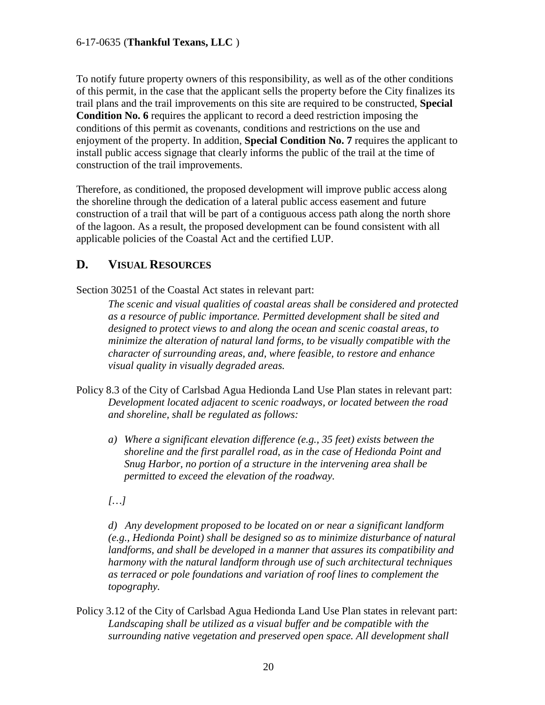To notify future property owners of this responsibility, as well as of the other conditions of this permit, in the case that the applicant sells the property before the City finalizes its trail plans and the trail improvements on this site are required to be constructed, **Special Condition No. 6** requires the applicant to record a deed restriction imposing the conditions of this permit as covenants, conditions and restrictions on the use and enjoyment of the property. In addition, **Special Condition No. 7** requires the applicant to install public access signage that clearly informs the public of the trail at the time of construction of the trail improvements.

Therefore, as conditioned, the proposed development will improve public access along the shoreline through the dedication of a lateral public access easement and future construction of a trail that will be part of a contiguous access path along the north shore of the lagoon. As a result, the proposed development can be found consistent with all applicable policies of the Coastal Act and the certified LUP.

### <span id="page-19-0"></span>**D. VISUAL RESOURCES**

Section 30251 of the Coastal Act states in relevant part:

*The scenic and visual qualities of coastal areas shall be considered and protected as a resource of public importance. Permitted development shall be sited and designed to protect views to and along the ocean and scenic coastal areas, to minimize the alteration of natural land forms, to be visually compatible with the character of surrounding areas, and, where feasible, to restore and enhance visual quality in visually degraded areas.* 

- Policy 8.3 of the City of Carlsbad Agua Hedionda Land Use Plan states in relevant part: *Development located adjacent to scenic roadways, or located between the road and shoreline, shall be regulated as follows:* 
	- *a) Where a significant elevation difference (e.g., 35 feet) exists between the shoreline and the first parallel road, as in the case of Hedionda Point and Snug Harbor, no portion of a structure in the intervening area shall be permitted to exceed the elevation of the roadway.*

*[…]*

*d) Any development proposed to be located on or near a significant landform (e.g., Hedionda Point) shall be designed so as to minimize disturbance of natural landforms, and shall be developed in a manner that assures its compatibility and harmony with the natural landform through use of such architectural techniques as terraced or pole foundations and variation of roof lines to complement the topography.* 

Policy 3.12 of the City of Carlsbad Agua Hedionda Land Use Plan states in relevant part: *Landscaping shall be utilized as a visual buffer and be compatible with the surrounding native vegetation and preserved open space. All development shall*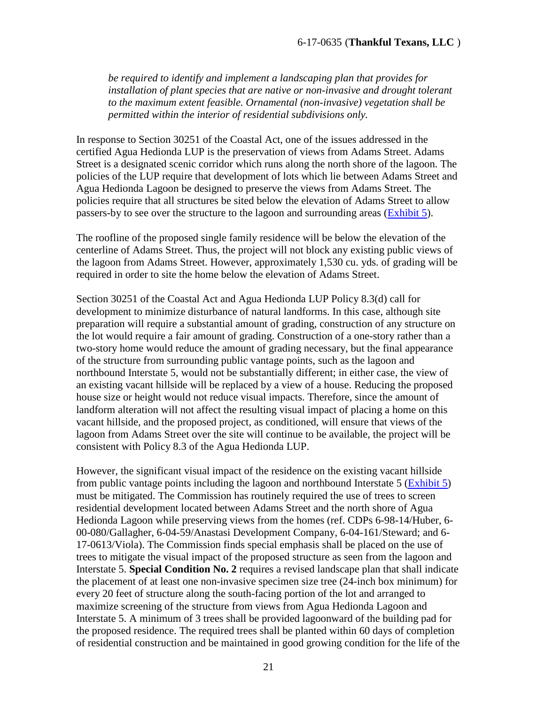*be required to identify and implement a landscaping plan that provides for installation of plant species that are native or non-invasive and drought tolerant to the maximum extent feasible. Ornamental (non-invasive) vegetation shall be permitted within the interior of residential subdivisions only.* 

In response to Section 30251 of the Coastal Act, one of the issues addressed in the certified Agua Hedionda LUP is the preservation of views from Adams Street. Adams Street is a designated scenic corridor which runs along the north shore of the lagoon. The policies of the LUP require that development of lots which lie between Adams Street and Agua Hedionda Lagoon be designed to preserve the views from Adams Street. The policies require that all structures be sited below the elevation of Adams Street to allow passers-by to see over the structure to the lagoon and surrounding areas [\(Exhibit 5\)](https://documents.coastal.ca.gov/reports/2018/8/W20b/W20b-8-2018-exhibits.pdf).

The roofline of the proposed single family residence will be below the elevation of the centerline of Adams Street. Thus, the project will not block any existing public views of the lagoon from Adams Street. However, approximately 1,530 cu. yds. of grading will be required in order to site the home below the elevation of Adams Street.

Section 30251 of the Coastal Act and Agua Hedionda LUP Policy 8.3(d) call for development to minimize disturbance of natural landforms. In this case, although site preparation will require a substantial amount of grading, construction of any structure on the lot would require a fair amount of grading. Construction of a one-story rather than a two-story home would reduce the amount of grading necessary, but the final appearance of the structure from surrounding public vantage points, such as the lagoon and northbound Interstate 5, would not be substantially different; in either case, the view of an existing vacant hillside will be replaced by a view of a house. Reducing the proposed house size or height would not reduce visual impacts. Therefore, since the amount of landform alteration will not affect the resulting visual impact of placing a home on this vacant hillside, and the proposed project, as conditioned, will ensure that views of the lagoon from Adams Street over the site will continue to be available, the project will be consistent with Policy 8.3 of the Agua Hedionda LUP.

However, the significant visual impact of the residence on the existing vacant hillside from public vantage points including the lagoon and northbound Interstate 5 [\(Exhibit 5\)](https://documents.coastal.ca.gov/reports/2018/8/W20b/W20b-8-2018-exhibits.pdf) must be mitigated. The Commission has routinely required the use of trees to screen residential development located between Adams Street and the north shore of Agua Hedionda Lagoon while preserving views from the homes (ref. CDPs 6-98-14/Huber, 6- 00-080/Gallagher, 6-04-59/Anastasi Development Company, 6-04-161/Steward; and 6- 17-0613/Viola). The Commission finds special emphasis shall be placed on the use of trees to mitigate the visual impact of the proposed structure as seen from the lagoon and Interstate 5. **Special Condition No. 2** requires a revised landscape plan that shall indicate the placement of at least one non-invasive specimen size tree (24-inch box minimum) for every 20 feet of structure along the south-facing portion of the lot and arranged to maximize screening of the structure from views from Agua Hedionda Lagoon and Interstate 5. A minimum of 3 trees shall be provided lagoonward of the building pad for the proposed residence. The required trees shall be planted within 60 days of completion of residential construction and be maintained in good growing condition for the life of the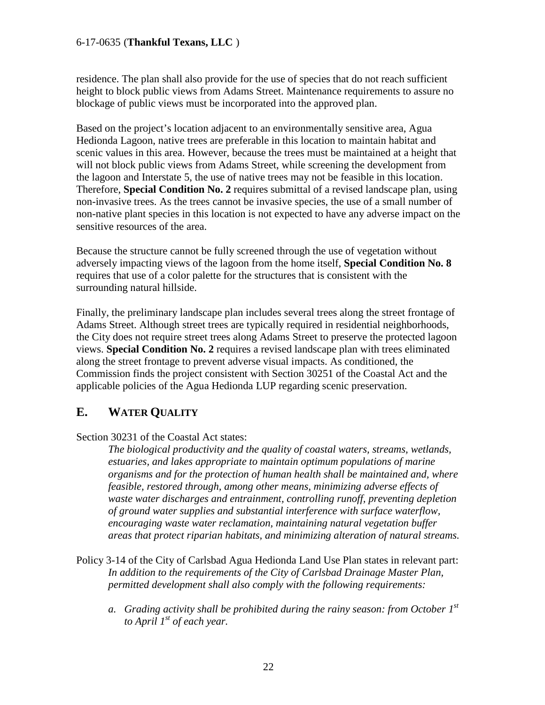residence. The plan shall also provide for the use of species that do not reach sufficient height to block public views from Adams Street. Maintenance requirements to assure no blockage of public views must be incorporated into the approved plan.

Based on the project's location adjacent to an environmentally sensitive area, Agua Hedionda Lagoon, native trees are preferable in this location to maintain habitat and scenic values in this area. However, because the trees must be maintained at a height that will not block public views from Adams Street, while screening the development from the lagoon and Interstate 5, the use of native trees may not be feasible in this location. Therefore, **Special Condition No. 2** requires submittal of a revised landscape plan, using non-invasive trees. As the trees cannot be invasive species, the use of a small number of non-native plant species in this location is not expected to have any adverse impact on the sensitive resources of the area.

Because the structure cannot be fully screened through the use of vegetation without adversely impacting views of the lagoon from the home itself, **Special Condition No. 8** requires that use of a color palette for the structures that is consistent with the surrounding natural hillside.

Finally, the preliminary landscape plan includes several trees along the street frontage of Adams Street. Although street trees are typically required in residential neighborhoods, the City does not require street trees along Adams Street to preserve the protected lagoon views. **Special Condition No. 2** requires a revised landscape plan with trees eliminated along the street frontage to prevent adverse visual impacts. As conditioned, the Commission finds the project consistent with Section 30251 of the Coastal Act and the applicable policies of the Agua Hedionda LUP regarding scenic preservation.

### <span id="page-21-0"></span>**E. WATER QUALITY**

Section 30231 of the Coastal Act states:

*The biological productivity and the quality of coastal waters, streams, wetlands, estuaries, and lakes appropriate to maintain optimum populations of marine organisms and for the protection of human health shall be maintained and, where feasible, restored through, among other means, minimizing adverse effects of waste water discharges and entrainment, controlling runoff, preventing depletion of ground water supplies and substantial interference with surface waterflow, encouraging waste water reclamation, maintaining natural vegetation buffer areas that protect riparian habitats, and minimizing alteration of natural streams.*

- Policy 3-14 of the City of Carlsbad Agua Hedionda Land Use Plan states in relevant part: *In addition to the requirements of the City of Carlsbad Drainage Master Plan, permitted development shall also comply with the following requirements:* 
	- *a. Grading activity shall be prohibited during the rainy season: from October 1st to April 1st of each year.*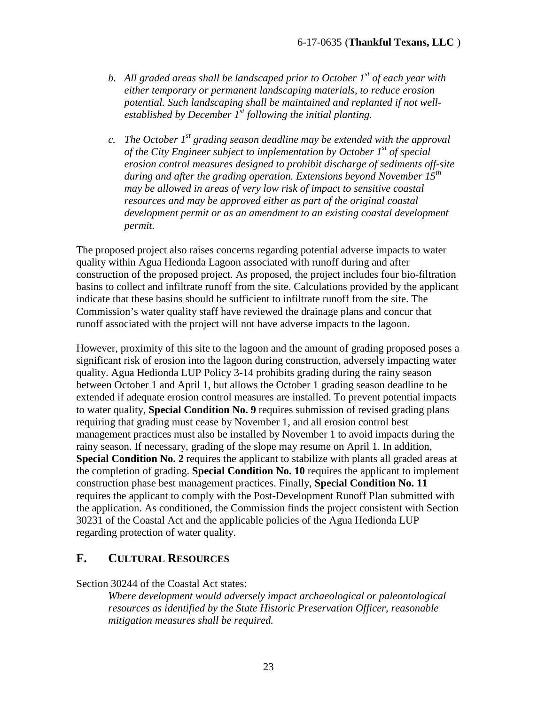- *b. All graded areas shall be landscaped prior to October 1st of each year with either temporary or permanent landscaping materials, to reduce erosion potential. Such landscaping shall be maintained and replanted if not wellestablished by December 1st following the initial planting.*
- *c. The October 1st grading season deadline may be extended with the approval of the City Engineer subject to implementation by October 1st of special erosion control measures designed to prohibit discharge of sediments off-site during and after the grading operation. Extensions beyond November 15th may be allowed in areas of very low risk of impact to sensitive coastal resources and may be approved either as part of the original coastal development permit or as an amendment to an existing coastal development permit.*

The proposed project also raises concerns regarding potential adverse impacts to water quality within Agua Hedionda Lagoon associated with runoff during and after construction of the proposed project. As proposed, the project includes four bio-filtration basins to collect and infiltrate runoff from the site. Calculations provided by the applicant indicate that these basins should be sufficient to infiltrate runoff from the site. The Commission's water quality staff have reviewed the drainage plans and concur that runoff associated with the project will not have adverse impacts to the lagoon.

However, proximity of this site to the lagoon and the amount of grading proposed poses a significant risk of erosion into the lagoon during construction, adversely impacting water quality. Agua Hedionda LUP Policy 3-14 prohibits grading during the rainy season between October 1 and April 1, but allows the October 1 grading season deadline to be extended if adequate erosion control measures are installed. To prevent potential impacts to water quality, **Special Condition No. 9** requires submission of revised grading plans requiring that grading must cease by November 1, and all erosion control best management practices must also be installed by November 1 to avoid impacts during the rainy season. If necessary, grading of the slope may resume on April 1. In addition, **Special Condition No. 2** requires the applicant to stabilize with plants all graded areas at the completion of grading. **Special Condition No. 10** requires the applicant to implement construction phase best management practices. Finally, **Special Condition No. 11**  requires the applicant to comply with the Post-Development Runoff Plan submitted with the application. As conditioned, the Commission finds the project consistent with Section 30231 of the Coastal Act and the applicable policies of the Agua Hedionda LUP regarding protection of water quality.

### <span id="page-22-0"></span>**F. CULTURAL RESOURCES**

Section 30244 of the Coastal Act states:

*Where development would adversely impact archaeological or paleontological resources as identified by the State Historic Preservation Officer, reasonable mitigation measures shall be required.*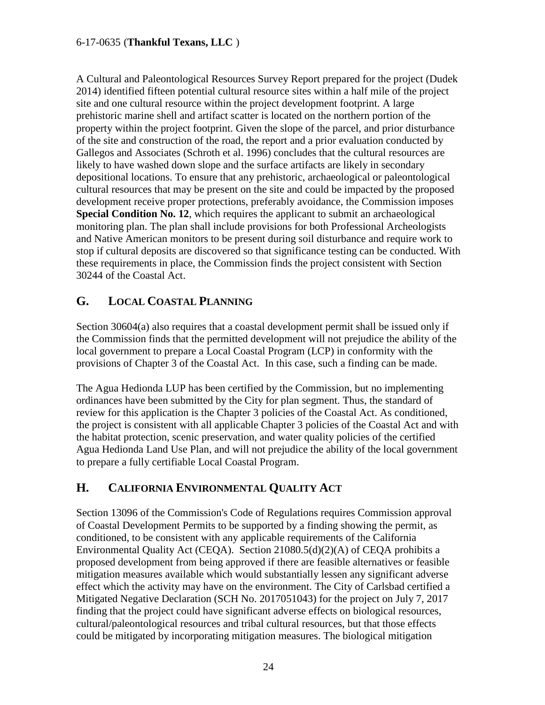A Cultural and Paleontological Resources Survey Report prepared for the project (Dudek 2014) identified fifteen potential cultural resource sites within a half mile of the project site and one cultural resource within the project development footprint. A large prehistoric marine shell and artifact scatter is located on the northern portion of the property within the project footprint. Given the slope of the parcel, and prior disturbance of the site and construction of the road, the report and a prior evaluation conducted by Gallegos and Associates (Schroth et al. 1996) concludes that the cultural resources are likely to have washed down slope and the surface artifacts are likely in secondary depositional locations. To ensure that any prehistoric, archaeological or paleontological cultural resources that may be present on the site and could be impacted by the proposed development receive proper protections, preferably avoidance, the Commission imposes **Special Condition No. 12**, which requires the applicant to submit an archaeological monitoring plan. The plan shall include provisions for both Professional Archeologists and Native American monitors to be present during soil disturbance and require work to stop if cultural deposits are discovered so that significance testing can be conducted. With these requirements in place, the Commission finds the project consistent with Section 30244 of the Coastal Act.

### <span id="page-23-0"></span>**G. LOCAL COASTAL PLANNING**

Section 30604(a) also requires that a coastal development permit shall be issued only if the Commission finds that the permitted development will not prejudice the ability of the local government to prepare a Local Coastal Program (LCP) in conformity with the provisions of Chapter 3 of the Coastal Act. In this case, such a finding can be made.

The Agua Hedionda LUP has been certified by the Commission, but no implementing ordinances have been submitted by the City for plan segment. Thus, the standard of review for this application is the Chapter 3 policies of the Coastal Act. As conditioned, the project is consistent with all applicable Chapter 3 policies of the Coastal Act and with the habitat protection, scenic preservation, and water quality policies of the certified Agua Hedionda Land Use Plan, and will not prejudice the ability of the local government to prepare a fully certifiable Local Coastal Program.

### <span id="page-23-1"></span>**H. CALIFORNIA ENVIRONMENTAL QUALITY ACT**

Section 13096 of the Commission's Code of Regulations requires Commission approval of Coastal Development Permits to be supported by a finding showing the permit, as conditioned, to be consistent with any applicable requirements of the California Environmental Quality Act (CEQA). Section 21080.5(d)(2)(A) of CEQA prohibits a proposed development from being approved if there are feasible alternatives or feasible mitigation measures available which would substantially lessen any significant adverse effect which the activity may have on the environment. The City of Carlsbad certified a Mitigated Negative Declaration (SCH No. 2017051043) for the project on July 7, 2017 finding that the project could have significant adverse effects on biological resources, cultural/paleontological resources and tribal cultural resources, but that those effects could be mitigated by incorporating mitigation measures. The biological mitigation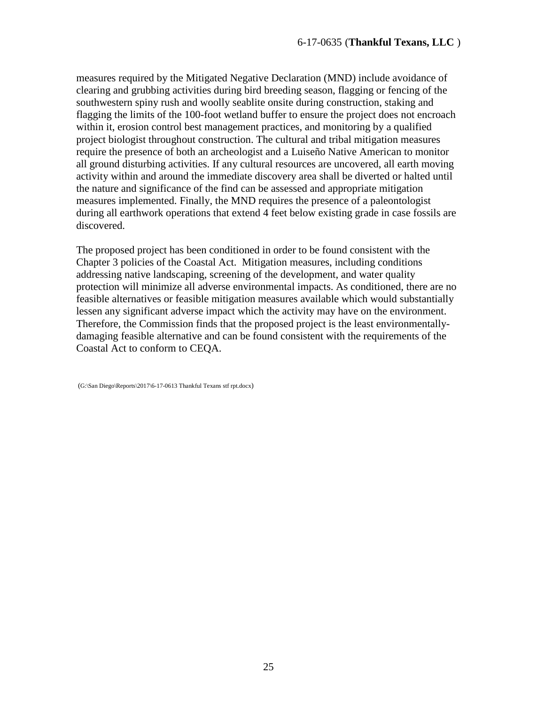measures required by the Mitigated Negative Declaration (MND) include avoidance of clearing and grubbing activities during bird breeding season, flagging or fencing of the southwestern spiny rush and woolly seablite onsite during construction, staking and flagging the limits of the 100-foot wetland buffer to ensure the project does not encroach within it, erosion control best management practices, and monitoring by a qualified project biologist throughout construction. The cultural and tribal mitigation measures require the presence of both an archeologist and a Luiseño Native American to monitor all ground disturbing activities. If any cultural resources are uncovered, all earth moving activity within and around the immediate discovery area shall be diverted or halted until the nature and significance of the find can be assessed and appropriate mitigation measures implemented. Finally, the MND requires the presence of a paleontologist during all earthwork operations that extend 4 feet below existing grade in case fossils are discovered.

The proposed project has been conditioned in order to be found consistent with the Chapter 3 policies of the Coastal Act. Mitigation measures, including conditions addressing native landscaping, screening of the development, and water quality protection will minimize all adverse environmental impacts. As conditioned, there are no feasible alternatives or feasible mitigation measures available which would substantially lessen any significant adverse impact which the activity may have on the environment. Therefore, the Commission finds that the proposed project is the least environmentallydamaging feasible alternative and can be found consistent with the requirements of the Coastal Act to conform to CEQA.

(G:\San Diego\Reports\2017\6-17-0613 Thankful Texans stf rpt.docx)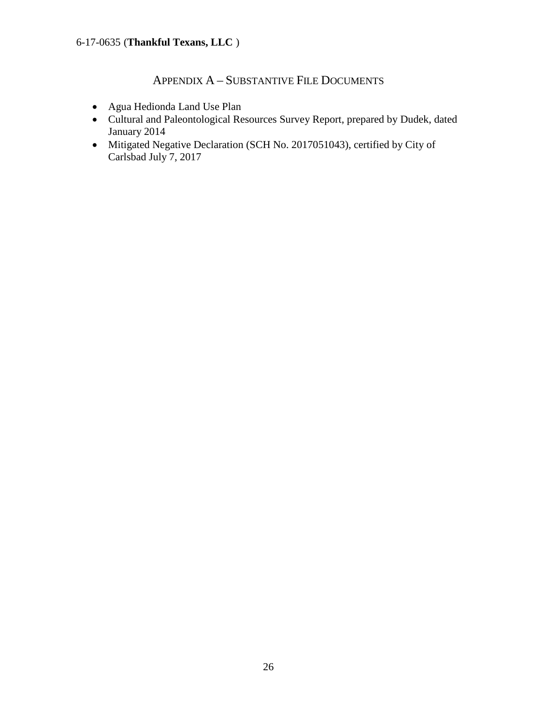## APPENDIX A – SUBSTANTIVE FILE DOCUMENTS

- <span id="page-25-0"></span>• Agua Hedionda Land Use Plan
- Cultural and Paleontological Resources Survey Report, prepared by Dudek, dated January 2014
- Mitigated Negative Declaration (SCH No. 2017051043), certified by City of Carlsbad July 7, 2017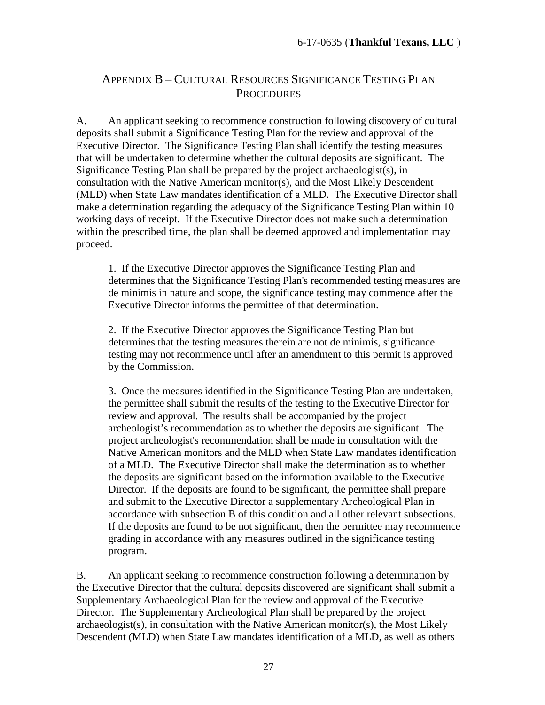### APPENDIX B – CULTURAL RESOURCES SIGNIFICANCE TESTING PLAN **PROCEDURES**

A. An applicant seeking to recommence construction following discovery of cultural deposits shall submit a Significance Testing Plan for the review and approval of the Executive Director. The Significance Testing Plan shall identify the testing measures that will be undertaken to determine whether the cultural deposits are significant. The Significance Testing Plan shall be prepared by the project archaeologist(s), in consultation with the Native American monitor(s), and the Most Likely Descendent (MLD) when State Law mandates identification of a MLD. The Executive Director shall make a determination regarding the adequacy of the Significance Testing Plan within 10 working days of receipt. If the Executive Director does not make such a determination within the prescribed time, the plan shall be deemed approved and implementation may proceed.

1. If the Executive Director approves the Significance Testing Plan and determines that the Significance Testing Plan's recommended testing measures are de minimis in nature and scope, the significance testing may commence after the Executive Director informs the permittee of that determination.

2. If the Executive Director approves the Significance Testing Plan but determines that the testing measures therein are not de minimis, significance testing may not recommence until after an amendment to this permit is approved by the Commission.

3. Once the measures identified in the Significance Testing Plan are undertaken, the permittee shall submit the results of the testing to the Executive Director for review and approval. The results shall be accompanied by the project archeologist's recommendation as to whether the deposits are significant. The project archeologist's recommendation shall be made in consultation with the Native American monitors and the MLD when State Law mandates identification of a MLD. The Executive Director shall make the determination as to whether the deposits are significant based on the information available to the Executive Director. If the deposits are found to be significant, the permittee shall prepare and submit to the Executive Director a supplementary Archeological Plan in accordance with subsection B of this condition and all other relevant subsections. If the deposits are found to be not significant, then the permittee may recommence grading in accordance with any measures outlined in the significance testing program.

B. An applicant seeking to recommence construction following a determination by the Executive Director that the cultural deposits discovered are significant shall submit a Supplementary Archaeological Plan for the review and approval of the Executive Director. The Supplementary Archeological Plan shall be prepared by the project archaeologist(s), in consultation with the Native American monitor(s), the Most Likely Descendent (MLD) when State Law mandates identification of a MLD, as well as others